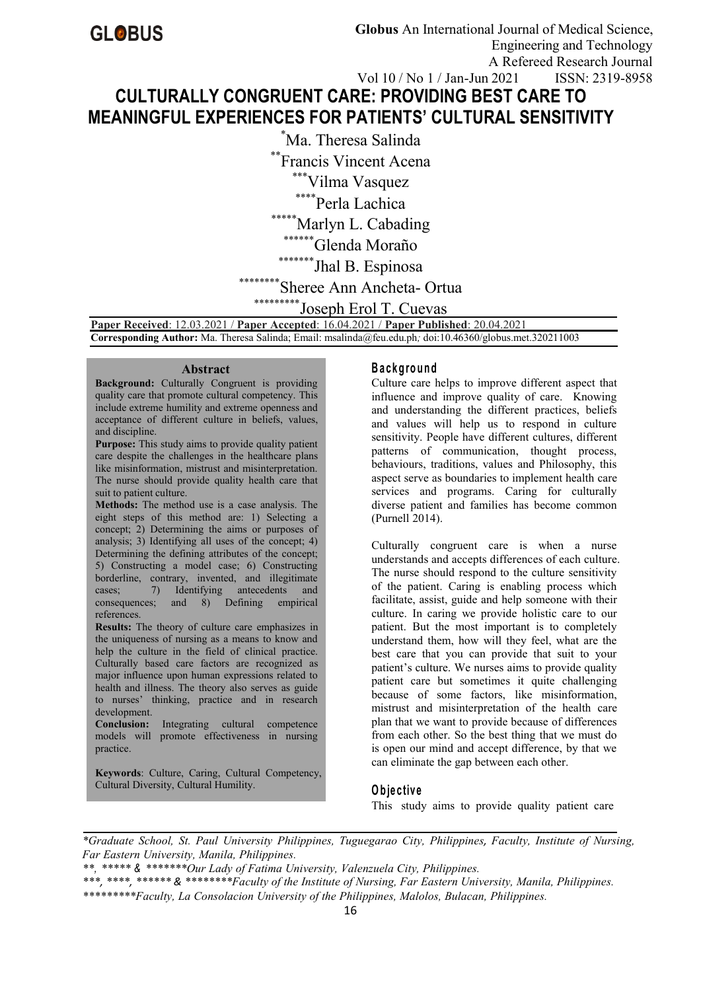# **CULTURALLY CONGRUENT CARE: PROVIDING BEST CARE TO MEANINGFUL EXPERIENCES FOR PATIENTS' CULTURAL SENSITIVITY**

\*Ma. Theresa Salinda

\*\*Francis Vincent Acena

\*\*\*Vilma Vasquez

\*\*\*\*\*Perla Lachica

\*\*\*Marlyn L. Cabading

\*\*\*\*\*\*Glenda Moraño

\*\*\*\*\*\*\*\*\*\*Jhal B. Espinosa

## Sheree Ann Ancheta- Ortua

\*\*\*\*\*\*\*Joseph Erol T. Cuevas

**Paper Received**: 12.03.2021 / **Paper Accepted**: 16.04.2021 / **Paper Published**: 20.04.2021 **Corresponding Author:** Ma. Theresa Salinda; Email: msalinda@feu.edu.ph*;* doi:10.46360/globus.met.320211003

#### **Abstract**

**Background:** Culturally Congruent is providing quality care that promote cultural competency. This include extreme humility and extreme openness and acceptance of different culture in beliefs, values, and discipline.

Purpose: This study aims to provide quality patient care despite the challenges in the healthcare plans like misinformation, mistrust and misinterpretation. The nurse should provide quality health care that suit to patient culture.

**Methods:** The method use is a case analysis. The eight steps of this method are: 1) Selecting a concept; 2) Determining the aims or purposes of analysis; 3) Identifying all uses of the concept; 4) Determining the defining attributes of the concept; 5) Constructing a model case; 6) Constructing borderline, contrary, invented, and illegitimate cases; 7) Identifying antecedents and consequences; and 8) Defining empirical references.

**Results:** The theory of culture care emphasizes in the uniqueness of nursing as a means to know and help the culture in the field of clinical practice. Culturally based care factors are recognized as major influence upon human expressions related to health and illness. The theory also serves as guide to nurses' thinking, practice and in research development.

**Conclusion:** Integrating cultural competence models will promote effectiveness in nursing practice.

**Keywords**: Culture, Caring, Cultural Competency, Cultural Diversity, Cultural Humility.

#### **B a c kg ro u n d**

Culture care helps to improve different aspect that influence and improve quality of care. Knowing and understanding the different practices, beliefs and values will help us to respond in culture sensitivity. People have different cultures, different patterns of communication, thought process, behaviours, traditions, values and Philosophy, this aspect serve as boundaries to implement health care services and programs. Caring for culturally diverse patient and families has become common (Purnell 2014).

Culturally congruent care is when a nurse understands and accepts differences of each culture. The nurse should respond to the culture sensitivity of the patient. Caring is enabling process which facilitate, assist, guide and help someone with their culture. In caring we provide holistic care to our patient. But the most important is to completely understand them, how will they feel, what are the best care that you can provide that suit to your patient's culture. We nurses aims to provide quality patient care but sometimes it quite challenging because of some factors, like misinformation, mistrust and misinterpretation of the health care plan that we want to provide because of differences from each other. So the best thing that we must do is open our mind and accept difference, by that we can eliminate the gap between each other.

## **O b je c tiv e**

This study aims to provide quality patient care

*\*Graduate School, St. Paul University Philippines, Tuguegarao City, Philippines, Faculty, Institute of Nursing, Far Eastern University, Manila, Philippines.*

*\*\*, \*\*\*\*\* & \*\*\*\*\*\*\*Our Lady of Fatima University,Valenzuela City, Philippines.*

*\*\*\*, \*\*\*\*, \*\*\*\*\*\* & \*\*\*\*\*\*\*\*Faculty of the Institute of Nursing, Far Eastern University,Manila, Philippines. \*\*\*\*\*\*\*\*\*Faculty, La Consolacion University of the Philippines, Malolos, Bulacan, Philippines.*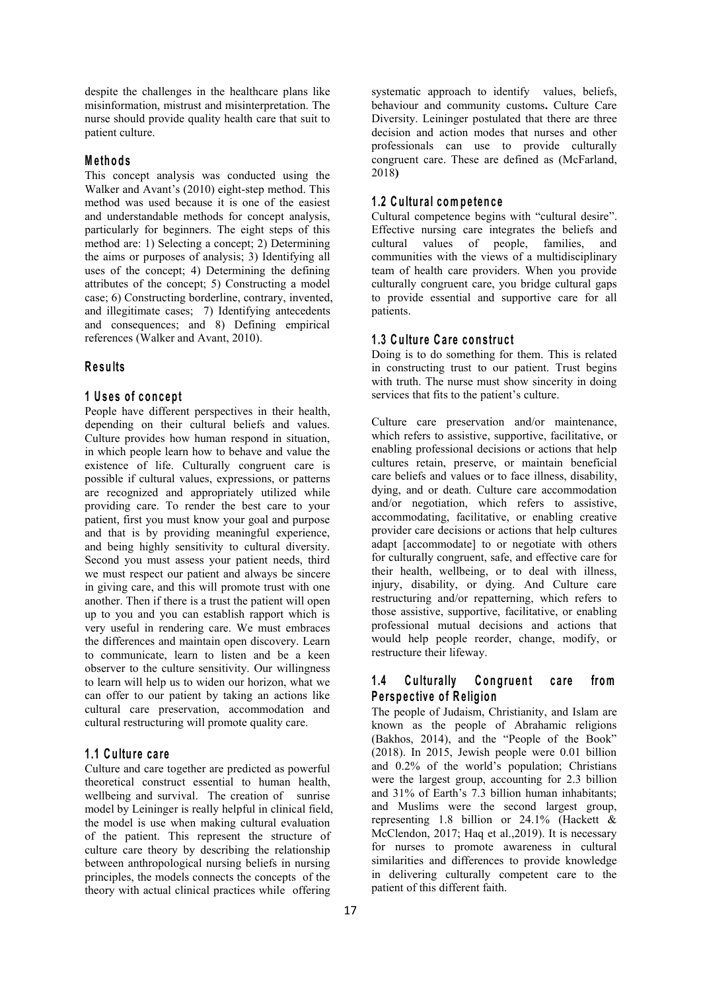despite the challenges in the healthcare plans like misinformation, mistrust and misinterpretation. The nurse should provide quality health care that suit to patient culture.

#### **M e th o d s**

This concept analysis was conducted using the Walker and Avant's (2010) eight-step method. This method was used because it is one of the easiest and understandable methods for concept analysis, particularly for beginners. The eight steps of this method are: 1) Selecting a concept; 2) Determining the aims or purposes of analysis; 3) Identifying all uses of the concept; 4) Determining the defining attributes of the concept; 5) Constructing a model case; 6) Constructing borderline, contrary, invented, and illegitimate cases; 7) Identifying antecedents and consequences; and 8) Defining empirical references (Walker and Avant, 2010).

#### **R e su lts**

#### **1 U s e s o f co n c ep t**

People have different perspectives in their health, depending on their cultural beliefs and values. Culture provides how human respond in situation, in which people learn how to behave and value the existence of life. Culturally congruent care is possible if cultural values, expressions, or patterns are recognized and appropriately utilized while providing care. To render the best care to your patient, first you must know your goal and purpose and that is by providing meaningful experience, and being highly sensitivity to cultural diversity. Second you must assess your patient needs, third we must respect our patient and always be sincere in giving care, and this will promote trust with one another. Then if there is a trust the patient will open up to you and you can establish rapport which is very useful in rendering care. We must embraces the differences and maintain open discovery. Learn to communicate, learn to listen and be a keen observer to the culture sensitivity. Our willingness<br>to learn will help us to widen our horizon, what we **1.4** Culturally to learn will help us to widen our horizon, what we can offer to our patient by taking an actions like cultural care preservation, accommodation and cultural restructuring will promote quality care.

#### **1 .1 C u ltu re ca re**

Culture and care together are predicted as powerful theoretical construct essential to human health, wellbeing and survival. The creation of sunrise model by Leininger is really helpful in clinical field, the model is use when making cultural evaluation of the patient.This represent the structure of culture care theory by describing the relationship between anthropological nursing beliefs in nursing principles, the models connects the concepts of the theory with actual clinical practices while offering

systematic approach to identify values, beliefs, behaviour and community customs**.** Culture Care Diversity. Leininger postulated that there are three decision and action modes that nurses and other professionals can use to provide culturally congruent care. These are defined as (McFarland, 2018**)**

## **1 .2 C u ltu ra l com p e ten c e**

Cultural competence begins with "cultural desire". Effective nursing care integrates the beliefs and cultural values of people, families, and communities with the views of a multidisciplinary team of health care providers. When you provide culturally congruent care, you bridge cultural gaps to provide essential and supportive care for all patients.

#### **1 .3 C u ltu re C a re co n s tru c t**

Doing is to do something for them. This is related in constructing trust to our patient. Trust begins with truth. The nurse must show sincerity in doing services that fits to the patient's culture.

Culture care preservation and/or maintenance, which refers to assistive, supportive, facilitative, or enabling professional decisions or actions that help cultures retain, preserve, or maintain beneficial care beliefs and values or to face illness, disability, dying, and or death. Culture care accommodation and/or negotiation, which refers to assistive, accommodating, facilitative, or enabling creative provider care decisions or actions that help cultures adapt [accommodate] to or negotiate with others for culturally congruent, safe, and effective care for their health, wellbeing, or to deal with illness, injury, disability, or dying. And Culture care restructuring and/or repatterning, which refers to those assistive, supportive, facilitative, or enabling professional mutual decisions and actions that would help people reorder, change, modify, or restructure their lifeway.

## **1 Congruent care from P e rsp e ctiv e o f R e lig io n**

The people of Judaism, Christianity, and Islam are known as the people of Abrahamic religions (Bakhos, 2014), and the "People of the Book" (2018). In 2015, Jewish people were 0.01 billion and 0.2% of the world's population; Christians were the largest group, accounting for  $2.3$  billion and 31% of Earth's 7.3 billion human inhabitants; and Muslims were the second largest group, representing 1.8 billion or 24.1% (Hackett & McClendon, 2017; Haq et al.,2019). It is necessary for nurses to promote awareness in cultural similarities and differences to provide knowledge in delivering culturally competent care to the patient of this different faith.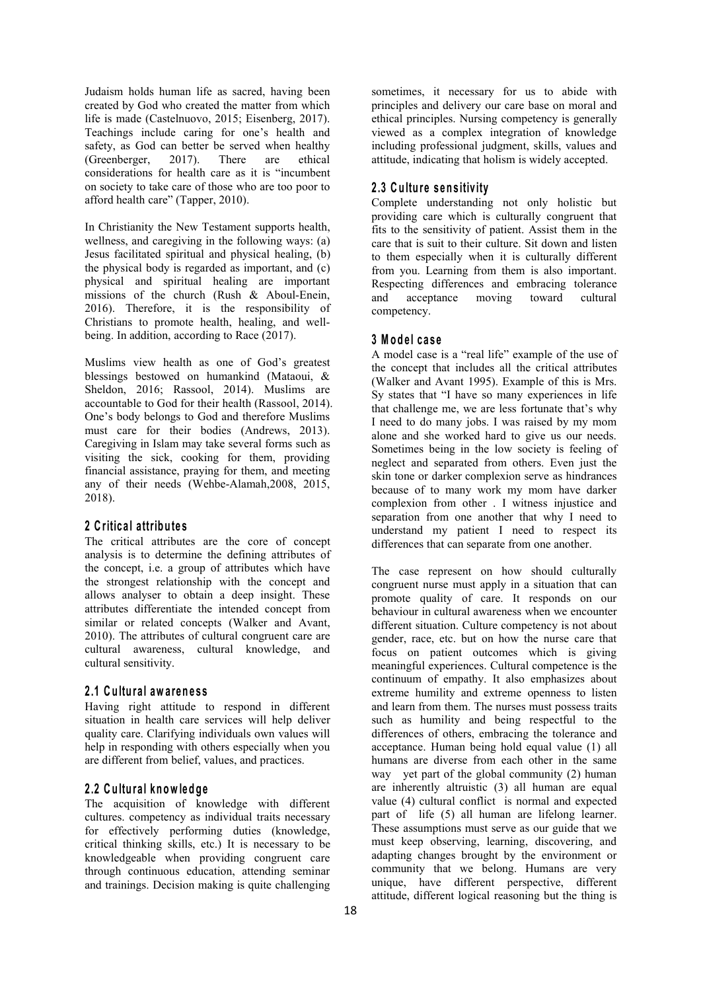Judaism holds human life as sacred, having been created by God who created the matter from which life is made (Castelnuovo, 2015; Eisenberg, 2017). Teachings include caring for one's health and safety, as God can better be served when healthy (Greenberger, 2017). There are ethical considerations for health care as it is "incumbent on society to take care of those who are too poor to afford health care" (Tapper,2010).

In Christianity the New Testament supports health, wellness, and caregiving in the following ways: (a) Jesus facilitated spiritual and physical healing, (b) the physical body is regarded as important, and (c) physical and spiritual healing are important missions of the church (Rush & Aboul-Enein, and 2016). Therefore, it is the responsibility of Christians to promote health, healing, and well being. In addition, according to Race (2017).

Muslims view health as one of God's greatest blessings bestowed on humankind (Mataoui, & Sheldon, 2016; Rassool, 2014). Muslims are accountable to God for their health (Rassool, 2014). One's body belongs to God and therefore Muslims must care for their bodies (Andrews, 2013). Caregiving in Islam may take several forms such as visiting the sick, cooking for them, providing financial assistance, praying for them, and meeting any of their needs (Wehbe-Alamah,2008, 2015, 2018).

#### **2 C ritic a l attrib u te s**

The critical attributes are the core of concept analysis is to determine the defining attributes of the concept, i.e. a group of attributes which have the strongest relationship with the concept and allows analyser to obtain a deep insight. These attributes differentiate the intended concept from similar or related concepts (Walker and Avant, 2010). The attributes of cultural congruent care are cultural awareness, cultural knowledge, and cultural sensitivity.

#### **2 .1 C u ltu ra l aw a ren e s s**

Having right attitude to respond in different situation in health care services will help deliver quality care. Clarifying individuals own values will help in responding with others especially when you are different from belief, values, and practices.

#### **2 .2 C u ltu ra l kn ow led g e**

The acquisition of knowledge with different cultures. competency as individual traits necessary for effectively performing duties (knowledge, critical thinking skills, etc.) It is necessary to be knowledgeable when providing congruent care through continuous education, attending seminar and trainings. Decision making is quite challenging

sometimes, it necessary for us to abide with principles and delivery our care base on moral and ethical principles. Nursing competency is generally viewed as a complex integration of knowledge including professional judgment, skills, values and attitude, indicating that holism is widely accepted.

## **2 .3 C u ltu re s en s itiv ity**

Complete understanding not only holistic but providing care which is culturally congruent that fits to the sensitivity of patient. Assist them in the care that is suit to their culture. Sit down and listen to them especially when it is culturally different from you. Learning from them is also important. Respecting differences and embracing tolerance acceptance moving toward cultural competency.

#### **3 M o d e l c a s e**

A model case is a "real life" example of the use of the concept that includes all the critical attributes (Walker and Avant 1995). Example of this is Mrs. Sy states that "I have so many experiences in life that challenge me, we are less fortunate that's why I need to do many jobs. I was raised by my mom alone and she worked hard to give us our needs. Sometimes being in the low society is feeling of neglect and separated from others. Even just the skin tone or darker complexion serve as hindrances because of to many work my mom have darker complexion from other . I witness injustice and separation from one another that why I need to understand my patient I need to respect its differences that can separate from one another.

The case represent on how should culturally congruent nurse must apply in a situation that can promote quality of care. It responds on our behaviour in cultural awareness when we encounter different situation. Culture competency is not about gender, race, etc. but on how the nurse care that focus on patient outcomes which is giving meaningful experiences. Cultural competence is the continuum of empathy. It also emphasizes about extreme humility and extreme openness to listen and learn from them. The nurses must possess traits such as humility and being respectful to the differences of others, embracing the tolerance and acceptance. Human being hold equal value (1) all humans are diverse from each other in the same way yet part of the global community (2) human are inherently altruistic (3) all human are equal value (4) cultural conflict is normal and expected part of life (5) all human are lifelong learner. These assumptions must serve as our guide that we must keep observing, learning, discovering, and adapting changes brought by the environment or community that we belong. Humans are very unique, have different perspective, different attitude, different logical reasoning but the thing is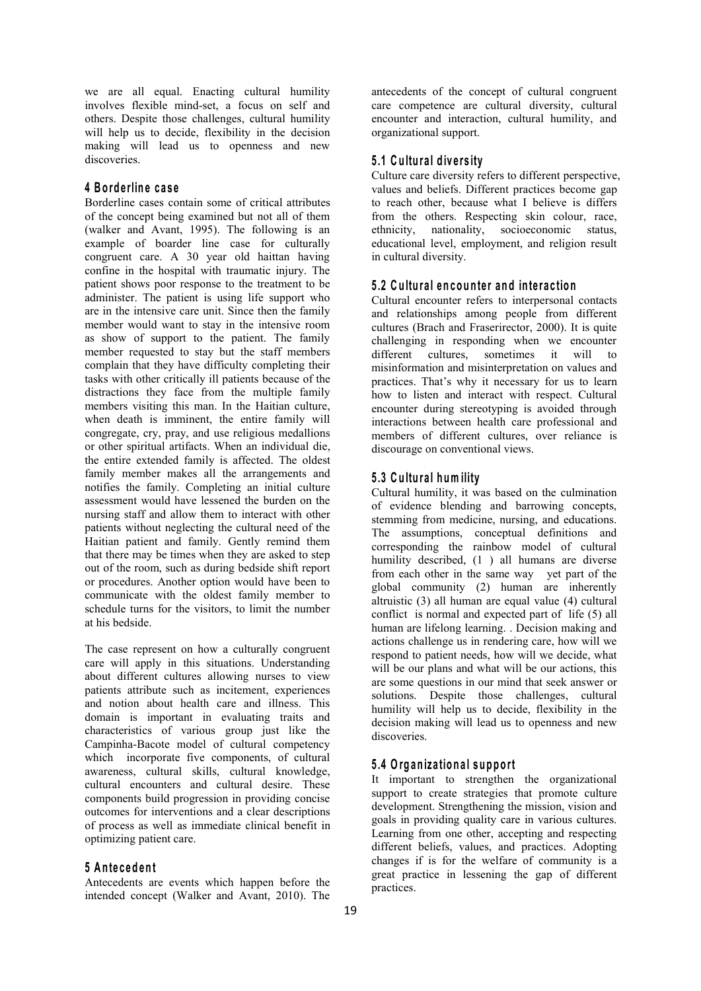we are all equal. Enacting cultural humility involves flexible mind-set, a focus on self and others. Despite those challenges, cultural humility will help us to decide, flexibility in the decision making will lead us to openness and new discoveries.

#### **4 B o rd e rlin e c a s e**

Borderline cases contain some of critical attributes of the concept being examined but not all of them (walker and Avant, 1995). The following is an example of boarder line case for culturally congruent care. A 30 year old haittan having confine in the hospital with traumatic injury. The patient shows poor response to the treatment to be administer. The patient is using life support who are in the intensive care unit. Since then the family member would want to stay in the intensive room as show of support to the patient. The family member requested to stay but the staff members complain that they have difficulty completing their tasks with other critically ill patients because of the distractions they face from the multiple family members visiting this man. In the Haitian culture, when death is imminent, the entire family will congregate, cry, pray, and use religious medallions or other spiritual artifacts. When an individual die, the entire extended family is affected. The oldest family member makes all the arrangements and notifies the family. Completing an initial culture assessment would have lessened the burden on the nursing staff and allow them to interact with other patients without neglecting the cultural need of the Haitian patient and family. Gently remind them that there may be times when they are asked to step out of the room, such as during bedside shift report or procedures. Another option would have been to communicate with the oldest family member to schedule turns for the visitors, to limit the number at his bedside.

The case represent on how a culturally congruent care will apply in this situations. Understanding about different cultures allowing nurses to view patients attribute such as incitement, experiences and notion about health care and illness. This domain is important in evaluating traits and characteristics of various group just like the Campinha-Bacote model of cultural competency which incorporate five components, of cultural awareness, cultural skills, cultural knowledge, cultural encounters and cultural desire. These components build progression in providing concise outcomes for interventions and a clear descriptions of process as well as immediate clinical benefit in optimizing patient care.

#### **5 A n te c ed en t**

Antecedents are events which happen before the intended concept (Walker and Avant, 2010). The

antecedents of the concept of cultural congruent care competence are cultural diversity, cultural encounter and interaction, cultural humility, and organizational support.

#### **5 .1 C u ltu ra l d iv e rs ity**

Culture care diversity refers to different perspective, values and beliefs. Different practices become gap to reach other, because what I believe is differs from the others. Respecting skin colour, race, ethnicity, nationality, socioeconomic status, educational level, employment, and religion result in cultural diversity.

#### **5 .2 C u ltu ra l en co u n te r an d in te ra c tio n**

Cultural encounter refers to interpersonal contacts and relationships among people from different cultures (Brach and Fraserirector, 2000). It is quite challenging in responding when we encounter different cultures, sometimes it will to misinformation and misinterpretation on values and practices. That's why it necessary for us to learn how to listen and interact with respect. Cultural encounter during stereotyping is avoided through interactions between health care professional and members of different cultures, over reliance is discourage on conventional views.

#### **5 .3 C u ltu ra l h um ility**

Cultural humility, it was based on the culmination of evidence blending and barrowing concepts, stemming from medicine, nursing, and educations. The assumptions, conceptual definitions and corresponding the rainbow model of cultural humility described, (1 ) all humans are diverse from each other in the same way yet part of the global community (2) human are inherently altruistic (3) all human are equal value (4) cultural conflict is normal and expected part of life (5) all human are lifelong learning. . Decision making and actions challenge us in rendering care, how will we respond to patient needs, how will we decide, what will be our plans and what will be our actions, this are some questions in our mind that seek answeror solutions. Despite those challenges, cultural humility will help us to decide, flexibility in the decision making will lead us to openness and new discoveries.

## **5 .4 O rg an iza tio n a l su p p o rt**

It important to strengthen the organizational support to create strategies that promote culture development. Strengthening the mission, vision and goals in providing quality care in various cultures. Learning from one other, accepting and respecting different beliefs, values, and practices. Adopting changes if is for the welfare of community is a great practice in lessening the gap of different practices.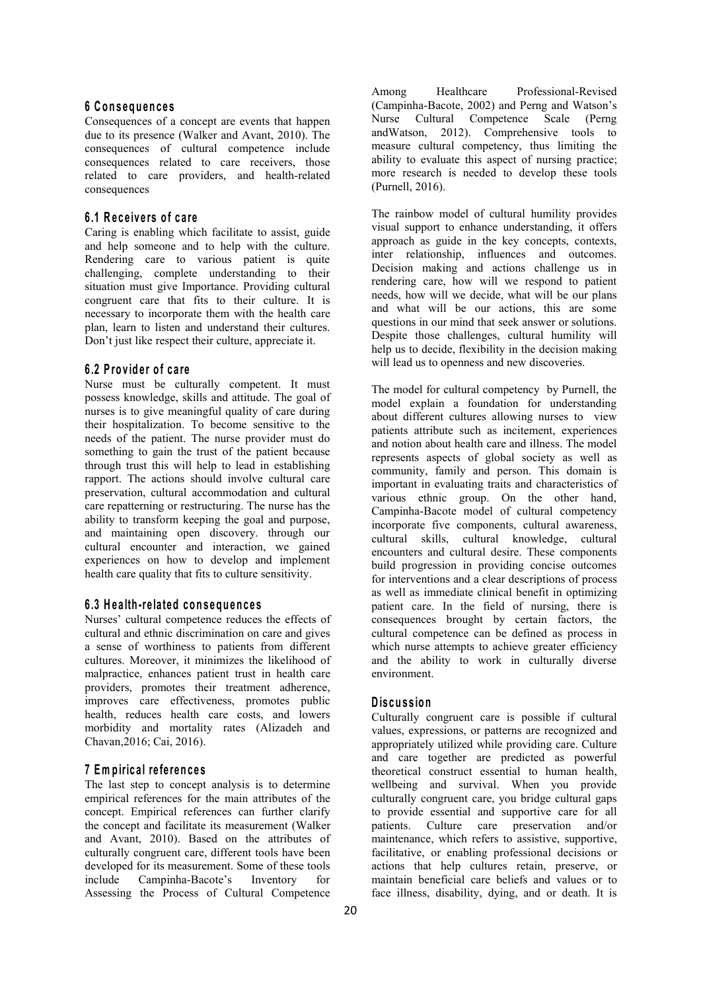#### **6 C o n s eq u en c e s**

Consequences of a concept are events that happen due to its presence (Walker and Avant, 2010). The consequences of cultural competence include consequences related to care receivers, those related to care providers, and health-related consequences

## **6 .1 R e c e iv e rs o f c a re**

Caring is enabling which facilitate to assist, guide and help someone and to help with the culture. Rendering care to various patient is quite challenging, complete understanding to their situation must give Importance. Providing cultural congruent care that fits to their culture. It is necessary to incorporate them with the health care plan, learn to listen and understand their cultures. Don't just like respect their culture, appreciate it.

#### **6 .2 P ro v id e r o f c a re**

Nurse must be culturally competent. It must possess knowledge, skills and attitude. The goal of nurses is to give meaningful quality of care during their hospitalization. To become sensitive to the needs of the patient. The nurse provider must do something to gain the trust of the patient because through trust this will help to lead in establishing rapport. The actions should involve cultural care preservation, cultural accommodation and cultural care repatterning or restructuring. The nurse has the ability to transform keeping the goal and purpose, and maintaining open discovery. through our cultural encounter and interaction, we gained experiences on how to develop and implement health care quality that fits to culture sensitivity.

#### **6 .3 H e a lth -re la ted co n s eq u en c e s**

Nurses' cultural competence reduces the effects of cultural and ethnic discrimination on care and gives a sense of worthiness to patients from different cultures. Moreover, it minimizes the likelihood of malpractice, enhances patient trust in health care providers, promotes their treatment adherence, improves care effectiveness, promotes public health, reduces health care costs, and lowers morbidity and mortality rates (Alizadeh and Chavan,2016; Cai, 2016).

#### **7 Em p iric a l re fe ren c e s**

The last step to concept analysis is to determine empirical references for the main attributes of the concept. Empirical references can further clarify the concept and facilitate its measurement (Walker and Avant, 2010). Based on the attributes of culturally congruent care, different tools have been developed for its measurement. Some of these tools include Campinha-Bacote's Inventory for Assessing the Process of Cultural Competence

Among Healthcare Professional-Revised (Campinha-Bacote, 2002) and Perng and Watson's Nurse Cultural Competence Scale (Perng andWatson, 2012). Comprehensive tools to measure cultural competency, thus limiting the ability to evaluate this aspect of nursing practice; more research is needed to develop these tools (Purnell, 2016).

The rainbow model of cultural humility provides visual support to enhance understanding, it offers approach as guide in the key concepts, contexts, inter relationship, influences and outcomes. Decision making and actions challenge us in rendering care, how will we respond to patient needs, how will we decide, what will be our plans and what will be our actions, this are some questions in our mind that seek answer or solutions. Despite those challenges, cultural humility will help us to decide, flexibility in the decision making will lead us to openness and new discoveries.

The model for cultural competency by Purnell, the model explain a foundation for understanding about different cultures allowing nurses to view patients attribute such as incitement, experiences and notion about health care and illness. The model represents aspects of global society as well as community, family and person. This domain is important in evaluating traits and characteristics of various ethnic group. On the other hand, Campinha-Bacote model of cultural competency incorporate five components, cultural awareness, cultural skills, cultural knowledge, cultural encounters and cultural desire. These components build progression in providing concise outcomes for interventions and a clear descriptions of process as well as immediate clinical benefit in optimizing patient care. In the field of nursing, there is consequences brought by certain factors, the cultural competence can be defined as process in which nurse attempts to achieve greater efficiency and the ability to work in culturally diverse environment.

## **D is cu s sio n**

Culturally congruent care is possible if cultural values, expressions, or patterns are recognized and appropriately utilized while providing care. Culture and care together are predicted as powerful theoretical construct essential to human health, wellbeing and survival. When you provide culturally congruent care, you bridge cultural gaps to provide essential and supportive care for all patients. Culture care preservation and/or maintenance, which refers to assistive, supportive, facilitative, or enabling professional decisions or actions that help cultures retain, preserve, or maintain beneficial care beliefs and values or to face illness, disability, dying, and or death. It is